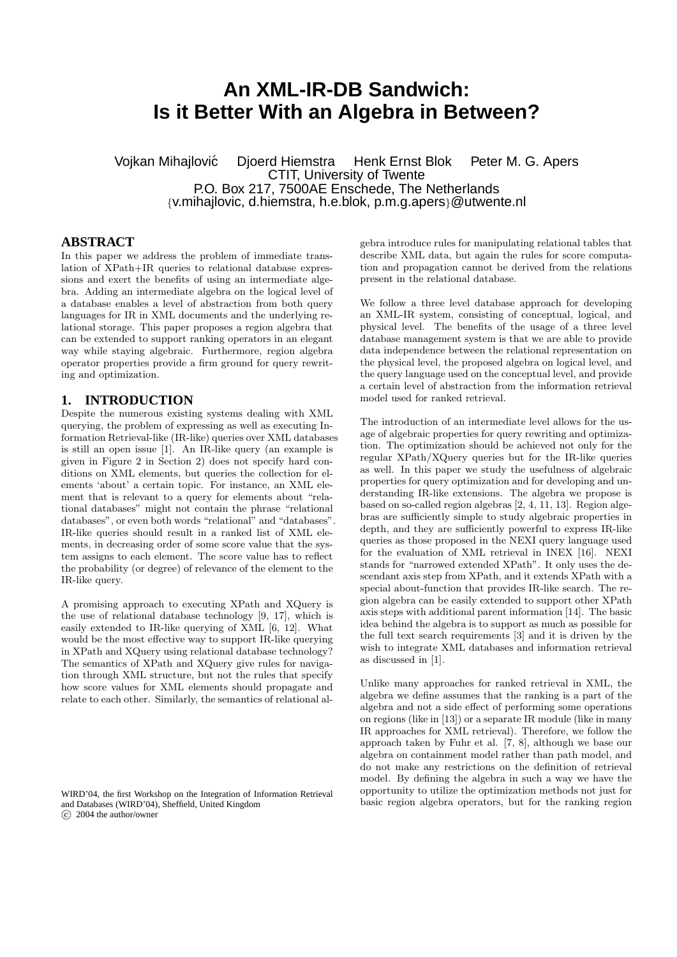# **An XML-IR-DB Sandwich: Is it Better With an Algebra in Between?**

Vojkan Mihajlovic Djoerd Hiemstra Henk Ernst Blok Peter M. G. Apers ´ CTIT, University of Twente P.O. Box 217, 7500AE Enschede, The Netherlands {v.mihajlovic, d.hiemstra, h.e.blok, p.m.g.apers}@utwente.nl

## **ABSTRACT**

In this paper we address the problem of immediate translation of XPath+IR queries to relational database expressions and exert the benefits of using an intermediate algebra. Adding an intermediate algebra on the logical level of a database enables a level of abstraction from both query languages for IR in XML documents and the underlying relational storage. This paper proposes a region algebra that can be extended to support ranking operators in an elegant way while staying algebraic. Furthermore, region algebra operator properties provide a firm ground for query rewriting and optimization.

#### **1. INTRODUCTION**

Despite the numerous existing systems dealing with XML querying, the problem of expressing as well as executing Information Retrieval-like (IR-like) queries over XML databases is still an open issue [1]. An IR-like query (an example is given in Figure 2 in Section 2) does not specify hard conditions on XML elements, but queries the collection for elements 'about' a certain topic. For instance, an XML element that is relevant to a query for elements about "relational databases" might not contain the phrase "relational databases", or even both words "relational" and "databases". IR-like queries should result in a ranked list of XML elements, in decreasing order of some score value that the system assigns to each element. The score value has to reflect the probability (or degree) of relevance of the element to the IR-like query.

A promising approach to executing XPath and XQuery is the use of relational database technology [9, 17], which is easily extended to IR-like querying of XML [6, 12]. What would be the most effective way to support IR-like querying in XPath and XQuery using relational database technology? The semantics of XPath and XQuery give rules for navigation through XML structure, but not the rules that specify how score values for XML elements should propagate and relate to each other. Similarly, the semantics of relational al-

WIRD'04, the first Workshop on the Integration of Information Retrieval and Databases (WIRD'04), Sheffield, United Kingdom  $\overline{c}$  2004 the author/owner

gebra introduce rules for manipulating relational tables that describe XML data, but again the rules for score computation and propagation cannot be derived from the relations present in the relational database.

We follow a three level database approach for developing an XML-IR system, consisting of conceptual, logical, and physical level. The benefits of the usage of a three level database management system is that we are able to provide data independence between the relational representation on the physical level, the proposed algebra on logical level, and the query language used on the conceptual level, and provide a certain level of abstraction from the information retrieval model used for ranked retrieval.

The introduction of an intermediate level allows for the usage of algebraic properties for query rewriting and optimization. The optimization should be achieved not only for the regular XPath/XQuery queries but for the IR-like queries as well. In this paper we study the usefulness of algebraic properties for query optimization and for developing and understanding IR-like extensions. The algebra we propose is based on so-called region algebras [2, 4, 11, 13]. Region algebras are sufficiently simple to study algebraic properties in depth, and they are sufficiently powerful to express IR-like queries as those proposed in the NEXI query language used for the evaluation of XML retrieval in INEX [16]. NEXI stands for "narrowed extended XPath". It only uses the descendant axis step from XPath, and it extends XPath with a special about-function that provides IR-like search. The region algebra can be easily extended to support other XPath axis steps with additional parent information [14]. The basic idea behind the algebra is to support as much as possible for the full text search requirements [3] and it is driven by the wish to integrate XML databases and information retrieval as discussed in [1].

Unlike many approaches for ranked retrieval in XML, the algebra we define assumes that the ranking is a part of the algebra and not a side effect of performing some operations on regions (like in [13]) or a separate IR module (like in many IR approaches for XML retrieval). Therefore, we follow the approach taken by Fuhr et al. [7, 8], although we base our algebra on containment model rather than path model, and do not make any restrictions on the definition of retrieval model. By defining the algebra in such a way we have the opportunity to utilize the optimization methods not just for basic region algebra operators, but for the ranking region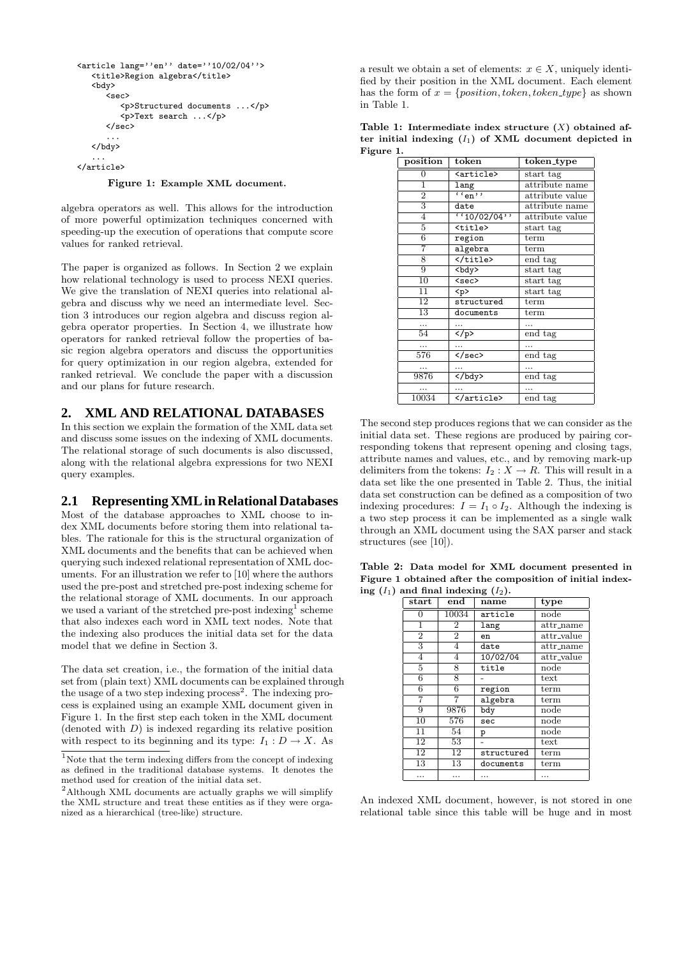```
<article lang=''en'' date=''10/02/04''>
   <title>Region algebra</title>
   <bdy>
      .<br><sec>
         <p>Structured documents ...</p>
         <p>Text search ...</p>
      </sec>
      ...
   </bdy>
```
... </article>

Figure 1: Example XML document.

algebra operators as well. This allows for the introduction of more powerful optimization techniques concerned with speeding-up the execution of operations that compute score values for ranked retrieval.

The paper is organized as follows. In Section 2 we explain how relational technology is used to process NEXI queries. We give the translation of NEXI queries into relational algebra and discuss why we need an intermediate level. Section 3 introduces our region algebra and discuss region algebra operator properties. In Section 4, we illustrate how operators for ranked retrieval follow the properties of basic region algebra operators and discuss the opportunities for query optimization in our region algebra, extended for ranked retrieval. We conclude the paper with a discussion and our plans for future research.

#### **2. XML AND RELATIONAL DATABASES**

In this section we explain the formation of the XML data set and discuss some issues on the indexing of XML documents. The relational storage of such documents is also discussed, along with the relational algebra expressions for two NEXI query examples.

#### **2.1 Representing XML in Relational Databases**

Most of the database approaches to XML choose to index XML documents before storing them into relational tables. The rationale for this is the structural organization of XML documents and the benefits that can be achieved when querying such indexed relational representation of XML documents. For an illustration we refer to [10] where the authors used the pre-post and stretched pre-post indexing scheme for the relational storage of XML documents. In our approach we used a variant of the stretched pre-post indexing<sup>1</sup> scheme that also indexes each word in XML text nodes. Note that the indexing also produces the initial data set for the data model that we define in Section 3.

The data set creation, i.e., the formation of the initial data set from (plain text) XML documents can be explained through the usage of a two step indexing process<sup>2</sup>. The indexing process is explained using an example XML document given in Figure 1. In the first step each token in the XML document  $(denoted with D)$  is indexed regarding its relative position with respect to its beginning and its type:  $I_1: D \to X$ . As

a result we obtain a set of elements:  $x \in X$ , uniquely identified by their position in the XML document. Each element has the form of  $x = \{position, token, token\_type\}$  as shown in Table 1.

Table 1: Intermediate index structure  $(X)$  obtained after initial indexing  $(I_1)$  of XML document depicted in Figure 1.

| position        | token                    | token_type      |
|-----------------|--------------------------|-----------------|
| 0               | <article></article>      | start tag       |
| $\mathbf{1}$    | lang                     | attribute name  |
| $\overline{2}$  | ``en"<br>attribute value |                 |
| 3               | date                     | attribute name  |
| $\overline{4}$  | (10/02/04)               | attribute value |
| 5               | <title></title>          | start tag       |
| 6               | region                   | term            |
| 7               | algebra                  | term            |
| 8               |                          | end tag         |
| 9               | $ddy$                    | start tag       |
| 10              | <sec></sec>              | start tag       |
| 11              | < p >                    | start tag       |
| $\overline{12}$ | structured               | term            |
| 13              | documents                | term            |
| .               |                          |                 |
| 54              | $\langle$ /p>            | end tag         |
|                 |                          |                 |
| 576             | $\langle$ /sec>          | end tag         |
| .               | .                        |                 |
| 9876            | $\langle$ bdy>           | end tag         |
|                 |                          |                 |
| 10034           |                          | end tag         |

The second step produces regions that we can consider as the initial data set. These regions are produced by pairing corresponding tokens that represent opening and closing tags, attribute names and values, etc., and by removing mark-up delimiters from the tokens:  $I_2 : X \to R$ . This will result in a data set like the one presented in Table 2. Thus, the initial data set construction can be defined as a composition of two indexing procedures:  $I = I_1 \circ I_2$ . Although the indexing is a two step process it can be implemented as a single walk through an XML document using the SAX parser and stack structures (see [10]).

Table 2: Data model for XML document presented in Figure 1 obtained after the composition of initial indexing  $(I_1)$  and final indexing  $(I_2)$ .

| $_{\rm start}$ | $_{\mathrm{end}}$ | name       | type               |
|----------------|-------------------|------------|--------------------|
| 0              | 10034             | article    | node               |
| $\overline{1}$ | $\overline{2}$    | lang       | $\text{attr_name}$ |
| $\overline{2}$ | $\overline{2}$    | en         | attr_value         |
| 3              | 4                 | date       | $\text{attr_name}$ |
| 4              | 4                 | 10/02/04   | $attr$ -value      |
| 5              | 8                 | title      | node               |
| 6              | 8                 |            | text               |
| 6              | 6                 | region     | term               |
| 7              |                   | algebra    | term               |
| 9              | 9876              | bdy        | node               |
| 10             | 576               | sec        | node               |
| 11             | 54                | p          | node               |
| 12             | 53                |            | text               |
| 12             | 12                | structured | term               |
| 13             | 13                | documents  | term               |
| .              | .                 | .          | .                  |

An indexed XML document, however, is not stored in one relational table since this table will be huge and in most

 $^{\rm 1}{\rm Note}$  that the term indexing differs from the concept of indexing as defined in the traditional database systems. It denotes the method used for creation of the initial data set.

<sup>2</sup>Although XML documents are actually graphs we will simplify the XML structure and treat these entities as if they were organized as a hierarchical (tree-like) structure.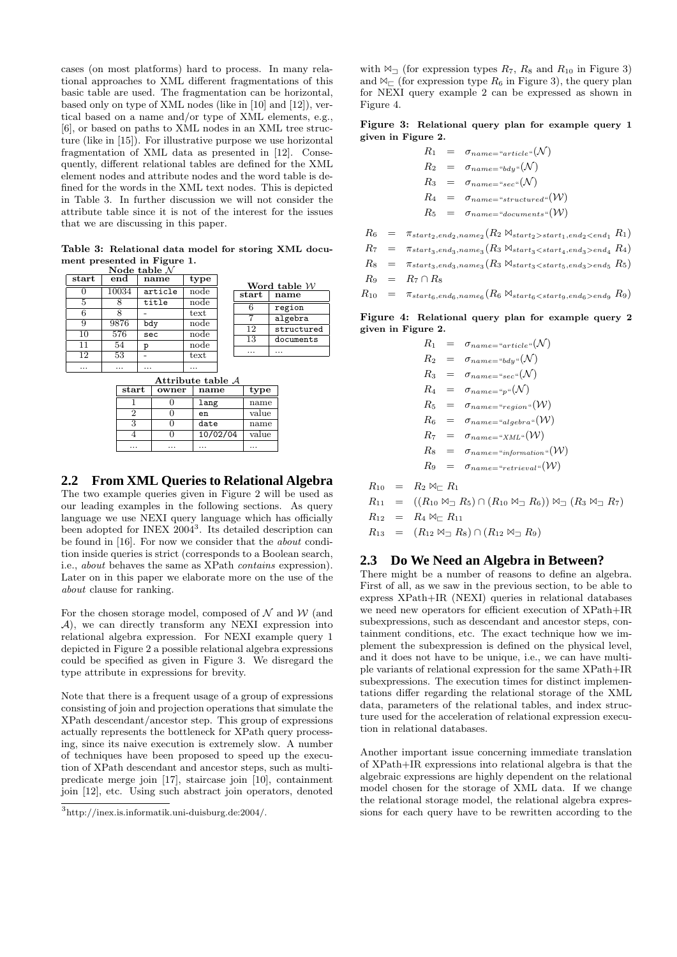cases (on most platforms) hard to process. In many relational approaches to XML different fragmentations of this basic table are used. The fragmentation can be horizontal, based only on type of XML nodes (like in [10] and [12]), vertical based on a name and/or type of XML elements, e.g., [6], or based on paths to XML nodes in an XML tree structure (like in [15]). For illustrative purpose we use horizontal fragmentation of XML data as presented in [12]. Consequently, different relational tables are defined for the XML element nodes and attribute nodes and the word table is defined for the words in the XML text nodes. This is depicted in Table 3. In further discussion we will not consider the attribute table since it is not of the interest for the issues that we are discussing in this paper.

Table 3: Relational data model for storing XML document presented in Figure 1. Node table  $\mathcal N$ 

| $_{\rm start}$ | end   | name    | type |
|----------------|-------|---------|------|
|                | 10034 | article | node |
| 5              |       | title   | node |
| 6              | 8     |         | text |
| 9              | 9876  | bdy     | node |
| 10             | 576   | sec     | node |
| 11             | 54    | р       | node |
| 12             | 53    |         | text |
|                |       |         |      |

Word table  $W$ <br>start | name name 6 region 7 algebra<br>12 structu structured 13 documents ... ...

| Attribute table $A$ |  |       |          |       |
|---------------------|--|-------|----------|-------|
| start               |  | owner | name     | type  |
|                     |  |       | lang     | name  |
| 2                   |  |       | en       | value |
| 3                   |  |       | date     | name  |
|                     |  |       | 10/02/04 | value |
| .                   |  | .     | .        |       |

#### **2.2 From XML Queries to Relational Algebra**

The two example queries given in Figure 2 will be used as our leading examples in the following sections. As query language we use NEXI query language which has officially been adopted for INEX 2004<sup>3</sup>. Its detailed description can be found in [16]. For now we consider that the about condition inside queries is strict (corresponds to a Boolean search, i.e., about behaves the same as XPath contains expression). Later on in this paper we elaborate more on the use of the about clause for ranking.

For the chosen storage model, composed of  $N$  and  $W$  (and A), we can directly transform any NEXI expression into relational algebra expression. For NEXI example query 1 depicted in Figure 2 a possible relational algebra expressions could be specified as given in Figure 3. We disregard the type attribute in expressions for brevity.

Note that there is a frequent usage of a group of expressions consisting of join and projection operations that simulate the XPath descendant/ancestor step. This group of expressions actually represents the bottleneck for XPath query processing, since its naive execution is extremely slow. A number of techniques have been proposed to speed up the execution of XPath descendant and ancestor steps, such as multipredicate merge join [17], staircase join [10], containment join [12], etc. Using such abstract join operators, denoted

with  $\mathbb{M}$ <sup>1</sup> (for expression types  $R_7$ ,  $R_8$  and  $R_{10}$  in Figure 3) and  $\bowtie_{\sqsubset}$  (for expression type  $R_6$  in Figure 3), the query plan for NEXI query example 2 can be expressed as shown in Figure 4.

Figure 3: Relational query plan for example query 1 given in Figure 2.

$$
R_1 = \sigma_{name="article} (N)
$$
  
\n
$$
R_2 = \sigma_{name="bdy} (N)
$$
  
\n
$$
R_3 = \sigma_{name="sec} (N)
$$
  
\n
$$
R_4 = \sigma_{name="structured} (W)
$$
  
\n
$$
R_5 = \sigma_{name="documents} (W)
$$

 $R_6$  =  $\pi_{start_2, end_2, name_2}(R_2 \Join_{start_2 > start_1, end_2 < end_1} R_1)$  $R_7$  =  $\pi_{start_3, end_3, name_3}(R_3 \Join_{start_3 < start_4, end_3 > end_4} R_4)$ 

$$
R_8 = \pi_{start_3, end_3, name_3}(R_3 \bowtie_{start_3 < start_5, end_3 > end_5} R_5)
$$

$$
R_9 = R_7 \cap R_8
$$

 $R_{10} = \pi_{start_6, end_6, name_6}(R_6 \bowtie_{start_6 < start_9, end_6 > end_9} R_9)$ 

Figure 4: Relational query plan for example query 2 given in Figure 2.

| $R_1$   | $= \sigma_{name="article} (N)$             |
|---------|--------------------------------------------|
|         | $R_2 = \sigma_{name="bdy``(N)}$            |
|         | $R_3 = \sigma_{name="sec}(\mathcal{N})$    |
|         | $R_4 = \sigma_{name = "p"}(N)$             |
|         | $R_5 = \sigma_{name="region} (W)$          |
|         | $R_6 = \sigma_{name="algebra} (W)$         |
|         | $R_7 = \sigma_{name = "XML"}(\mathcal{W})$ |
| $R_8 =$ | $\sigma_{name="information}$ "(W)          |
| Ko      | $\sigma_{name="retrieval"}(\mathcal{W})$   |

$$
R_{10} = R_2 \bowtie_{\square} R_1
$$
  
\n
$$
R_{11} = ((R_{10} \bowtie_{\square} R_5) \cap (R_{10} \bowtie_{\square} R_6)) \bowtie_{\square} (R_3 \bowtie_{\square} R_7)
$$
  
\n
$$
R_{12} = R_4 \bowtie_{\square} R_{11}
$$
  
\n
$$
R_{13} = (R_{12} \bowtie_{\square} R_8) \cap (R_{12} \bowtie_{\square} R_9)
$$

#### **2.3 Do We Need an Algebra in Between?**

There might be a number of reasons to define an algebra. First of all, as we saw in the previous section, to be able to express XPath+IR (NEXI) queries in relational databases we need new operators for efficient execution of XPath+IR subexpressions, such as descendant and ancestor steps, containment conditions, etc. The exact technique how we implement the subexpression is defined on the physical level, and it does not have to be unique, i.e., we can have multiple variants of relational expression for the same XPath+IR subexpressions. The execution times for distinct implementations differ regarding the relational storage of the XML data, parameters of the relational tables, and index structure used for the acceleration of relational expression execution in relational databases.

Another important issue concerning immediate translation of XPath+IR expressions into relational algebra is that the algebraic expressions are highly dependent on the relational model chosen for the storage of XML data. If we change the relational storage model, the relational algebra expressions for each query have to be rewritten according to the

<sup>3</sup> http://inex.is.informatik.uni-duisburg.de:2004/.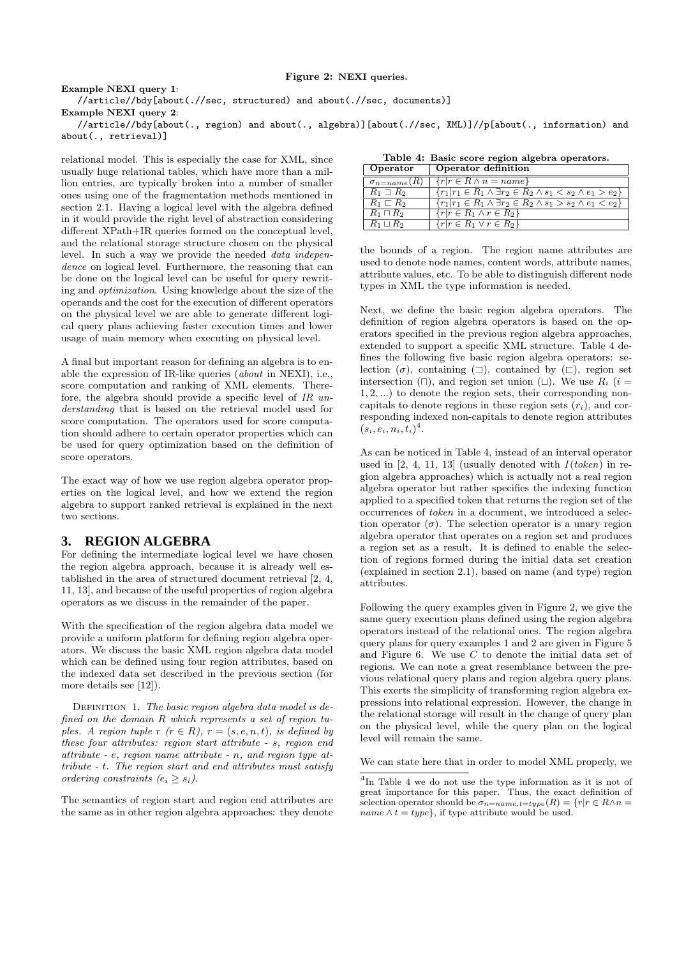#### Figure 2: NEXI queries.

Example NEXI query 1: //article//bdy[about(.//sec, structured) and about(.//sec, documents)] Example NEXI query 2:

//article//bdy[about(., region) and about(., algebra)][about(.//sec, XML)]//p[about(., information) and about(., retrieval)]

relational model. This is especially the case for XML, since usually huge relational tables, which have more than a million entries, are typically broken into a number of smaller ones using one of the fragmentation methods mentioned in section 2.1. Having a logical level with the algebra defined in it would provide the right level of abstraction considering different XPath+IR queries formed on the conceptual level, and the relational storage structure chosen on the physical level. In such a way we provide the needed data independence on logical level. Furthermore, the reasoning that can be done on the logical level can be useful for query rewriting and optimization. Using knowledge about the size of the operands and the cost for the execution of different operators on the physical level we are able to generate different logical query plans achieving faster execution times and lower usage of main memory when executing on physical level.

A final but important reason for defining an algebra is to enable the expression of IR-like queries (about in NEXI), i.e., score computation and ranking of XML elements. Therefore, the algebra should provide a specific level of IR understanding that is based on the retrieval model used for score computation. The operators used for score computation should adhere to certain operator properties which can be used for query optimization based on the definition of score operators.

The exact way of how we use region algebra operator properties on the logical level, and how we extend the region algebra to support ranked retrieval is explained in the next two sections.

#### **3. REGION ALGEBRA**

For defining the intermediate logical level we have chosen the region algebra approach, because it is already well established in the area of structured document retrieval [2, 4, 11, 13], and because of the useful properties of region algebra operators as we discuss in the remainder of the paper.

With the specification of the region algebra data model we provide a uniform platform for defining region algebra operators. We discuss the basic XML region algebra data model which can be defined using four region attributes, based on the indexed data set described in the previous section (for more details see [12]).

DEFINITION 1. The basic region algebra data model is defined on the domain R which represents a set of region tuples. A region tuple r  $(r \in R)$ ,  $r = (s, e, n, t)$ , is defined by these four attributes: region start attribute - s, region end attribute - e, region name attribute - n, and region type attribute - t. The region start and end attributes must satisfy ordering constraints  $(e_i > s_i)$ .

The semantics of region start and region end attributes are the same as in other region algebra approaches: they denote

|  |  |  | Table 4: Basic score region algebra operators. |
|--|--|--|------------------------------------------------|
|  |  |  |                                                |

| Operator               | Operator definition                                                                |
|------------------------|------------------------------------------------------------------------------------|
| $\sigma_{n = name}(R)$ | $\{r r \in R \wedge n = name\}$                                                    |
| $R_1 \sqsupset R_2$    | $\{r_1 r_1 \in R_1 \wedge \exists r_2 \in R_2 \wedge s_1 < s_2 \wedge e_1 > e_2\}$ |
| $R_1 \sqsubset R_2$    | $\{r_1 r_1 \in R_1 \wedge \exists r_2 \in R_2 \wedge s_1 > s_2 \wedge e_1 < e_2\}$ |
| $R_1 \sqcap R_2$       | $\{r r \in R_1 \wedge r \in R_2\}$                                                 |
| $R_1 \sqcup R_2$       | $\{r r \in R_1 \vee r \in R_2\}$                                                   |

the bounds of a region. The region name attributes are used to denote node names, content words, attribute names, attribute values, etc. To be able to distinguish different node types in XML the type information is needed.

Next, we define the basic region algebra operators. The definition of region algebra operators is based on the operators specified in the previous region algebra approaches, extended to support a specific XML structure. Table 4 defines the following five basic region algebra operators: selection  $(\sigma)$ , containing  $(\Box)$ , contained by  $(\Box)$ , region set intersection ( $\Box$ ), and region set union ( $\Box$ ). We use  $R_i$  ( $i =$ 1, 2, ...) to denote the region sets, their corresponding noncapitals to denote regions in these region sets  $(r_i)$ , and corresponding indexed non-capitals to denote region attributes  $(s_i, e_i, n_i, t_i)^4$ .

As can be noticed in Table 4, instead of an interval operator used in  $[2, 4, 11, 13]$  (usually denoted with  $I(token)$  in region algebra approaches) which is actually not a real region algebra operator but rather specifies the indexing function applied to a specified token that returns the region set of the occurrences of token in a document, we introduced a selection operator  $(\sigma)$ . The selection operator is a unary region algebra operator that operates on a region set and produces a region set as a result. It is defined to enable the selection of regions formed during the initial data set creation (explained in section 2.1), based on name (and type) region attributes.

Following the query examples given in Figure 2, we give the same query execution plans defined using the region algebra operators instead of the relational ones. The region algebra query plans for query examples 1 and 2 are given in Figure 5 and Figure 6. We use C to denote the initial data set of regions. We can note a great resemblance between the previous relational query plans and region algebra query plans. This exerts the simplicity of transforming region algebra expressions into relational expression. However, the change in the relational storage will result in the change of query plan on the physical level, while the query plan on the logical level will remain the same.

We can state here that in order to model XML properly, we

<sup>4</sup> In Table 4 we do not use the type information as it is not of great importance for this paper. Thus, the exact definition of selection operator should be  $\sigma_{n=name, t=type}(R) = \{r | r \in R \land n =$ name  $\wedge t = type$ , if type attribute would be used.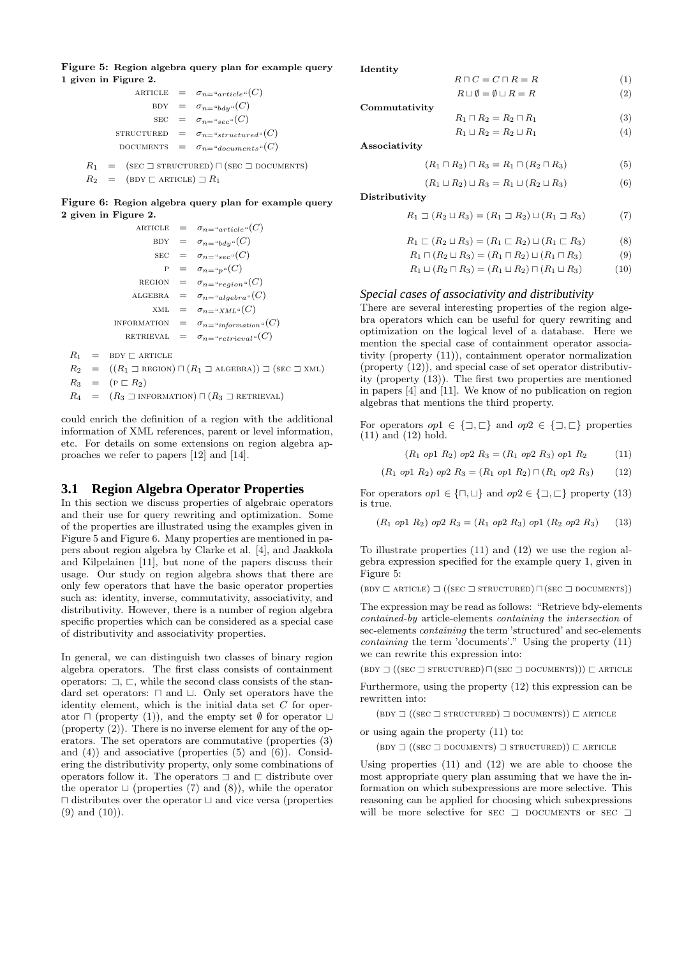Figure 5: Region algebra query plan for example query 1 given in Figure 2.

|  | ARTICLE = $\sigma_{n} = \sigma_{article}(C)$     |
|--|--------------------------------------------------|
|  | BDY = $\sigma_{n} = \sigma_{bdy} (C)$            |
|  | $\text{SEC} = \sigma_{n = "sec"}(C)$             |
|  | STRUCTURED = $\sigma_{n = "structured"}(C)$      |
|  | DOCUMENTS $= \sigma_{n} = \sigma_{downents} (C)$ |
|  |                                                  |

 $R_1 = (\text{sec} \sqsupset \text{STRUCTURED}) \sqcap (\text{sec} \sqsupset \text{DOCUMENTS})$  $R_2 = (\text{BDY} \sqsubset \text{ARTICLE}) \sqsupset R_1$ 

Figure 6: Region algebra query plan for example query 2 given in Figure 2.

```
ARTICLE = \sigma_{n="article} (C)BDY = \sigma_{n={}^{\omega}bdy{}^{\omega}}(C)\text{SEC} = \sigma_{n = "sec"}(C)P = \sigma_{n} = \alpha_n u(C)REGION = \sigma_{n="region}"(C)
                    ALGEBRA = \sigma_{n} = a_{algebra} (C)xML = \sigma_{n} = \alpha_{XML} (C)INFORMATION = \sigma_{n=}"information"(C)
                 RETRIEVAL = \sigma_{n="retrieval"}(C)R_1 = BDY \sqsubset ARTICLE
R_2 = ((R_1 \supseteq \text{REGION}) \cap (R_1 \supseteq \text{ALGEBRA})) \supseteq (\text{SEC } \supseteq \text{XML})R_3 = (\mathrm{P} \sqsubset R_2)
```
 $R_4 = (R_3 \sqsupset \text{INFORMATION}) \sqcap (R_3 \sqsupset \text{RETRIEVAL})$ 

could enrich the definition of a region with the additional information of XML references, parent or level information, etc. For details on some extensions on region algebra approaches we refer to papers [12] and [14].

### **3.1 Region Algebra Operator Properties**

In this section we discuss properties of algebraic operators and their use for query rewriting and optimization. Some of the properties are illustrated using the examples given in Figure 5 and Figure 6. Many properties are mentioned in papers about region algebra by Clarke et al. [4], and Jaakkola and Kilpelainen [11], but none of the papers discuss their usage. Our study on region algebra shows that there are only few operators that have the basic operator properties such as: identity, inverse, commutativity, associativity, and distributivity. However, there is a number of region algebra specific properties which can be considered as a special case of distributivity and associativity properties.

In general, we can distinguish two classes of binary region algebra operators. The first class consists of containment operators:  $\Box$ ,  $\Box$ , while the second class consists of the standard set operators:  $\Box$  and  $\Box$ . Only set operators have the identity element, which is the initial data set  $C$  for operator  $\sqcap$  (property (1)), and the empty set  $\emptyset$  for operator  $\sqcup$ (property (2)). There is no inverse element for any of the operators. The set operators are commutative (properties (3) and (4)) and associative (properties (5) and (6)). Considering the distributivity property, only some combinations of operators follow it. The operators  $\sqsupset$  and  $\sqsubset$  distribute over the operator  $\sqcup$  (properties (7) and (8)), while the operator  $\Box$  distributes over the operator  $\Box$  and vice versa (properties (9) and (10)).

Identity

| $R\sqcap C=C\sqcap R=R$                       | (1) |
|-----------------------------------------------|-----|
| $R \sqcup \emptyset = \emptyset \sqcup R = R$ | (2) |
|                                               |     |

- Commutativity  $R_1 \sqcap R_2 = R_2 \sqcap R_1$  (3)
	- $R_1 \sqcup R_2 = R_2 \sqcup R_1$  (4)

Associativity

$$
(R_1 \sqcap R_2) \sqcap R_3 = R_1 \sqcap (R_2 \sqcap R_3) \tag{5}
$$

$$
(R_1 \sqcup R_2) \sqcup R_3 = R_1 \sqcup (R_2 \sqcup R_3) \tag{6}
$$

Distributivity

$$
R_1 \sqsupset (R_2 \sqcup R_3) = (R_1 \sqsupset R_2) \sqcup (R_1 \sqsupset R_3) \tag{7}
$$

 $R_1 \sqsubset (R_2 \sqcup R_3) = (R_1 \sqsubset R_2) \sqcup (R_1 \sqsubset R_3)$  (8)

$$
R_1 \sqcap (R_2 \sqcup R_3) = (R_1 \sqcap R_2) \sqcup (R_1 \sqcap R_3) \tag{9}
$$

$$
R_1 \sqcup (R_2 \sqcap R_3) = (R_1 \sqcup R_2) \sqcap (R_1 \sqcup R_3) \tag{10}
$$

#### *Special cases of associativity and distributivity*

There are several interesting properties of the region algebra operators which can be useful for query rewriting and optimization on the logical level of a database. Here we mention the special case of containment operator associativity (property (11)), containment operator normalization (property (12)), and special case of set operator distributivity (property (13)). The first two properties are mentioned in papers [4] and [11]. We know of no publication on region algebras that mentions the third property.

For operators  $op1 \in \{\exists, \sqsubset\}$  and  $op2 \in \{\exists, \sqsubset\}$  properties (11) and (12) hold.

 $(R_1 \text{ op1 } R_2) \text{ op2 } R_3 = (R_1 \text{ op2 } R_3) \text{ op1 } R_2$  (11)

 $(R_1 \text{ op1 } R_2) \text{ op2 } R_3 = (R_1 \text{ op1 } R_2) \sqcap (R_1 \text{ op2 } R_3)$  (12)

For operators  $op1 \in {\bigcap}, \sqcup{\bigset}$  and  $op2 \in {\bigcap}, \sqsubset{\bigset}$  property (13) is true.

 $(R_1 \text{ op1 } R_2)$  op2  $R_3 = (R_1 \text{ op2 } R_3)$  op1  $(R_2 \text{ op2 } R_3)$  (13)

To illustrate properties (11) and (12) we use the region algebra expression specified for the example query 1, given in Figure 5:

 $(BDY \sqsubset ARTICLE) \sqsupset ((SEC \sqsupset STRUCTURED) \sqcap (SEC \sqsupset DOCUMENTS))$ 

The expression may be read as follows: "Retrieve bdy-elements contained-by article-elements containing the intersection of sec-elements containing the term 'structured' and sec-elements containing the term 'documents'." Using the property (11) we can rewrite this expression into:

 $(BDY \rightrightarrows ((SEC \rightrightarrows STRUCTURED) \sqcap (SEC \rightrightarrows DOCUMENTS))) \rightrightarrows ARTICE$ 

Furthermore, using the property (12) this expression can be rewritten into:

 $(BDY \rightrightarrows ((SEC \rightrightarrows STRUCTURED) \rightrightarrows DOCUMENTS)) \rightrightarrows ARTICE$ 

or using again the property (11) to:

 $(BDY \rightrightarrows ((SEC \rightrightarrows DOCUMENTS) \rightrightarrows STRUCTURED)) \rightrightarrows ARTICE$ 

Using properties (11) and (12) we are able to choose the most appropriate query plan assuming that we have the information on which subexpressions are more selective. This reasoning can be applied for choosing which subexpressions will be more selective for SEC  $\sqsupset$  DOCUMENTS or SEC  $\sqsupset$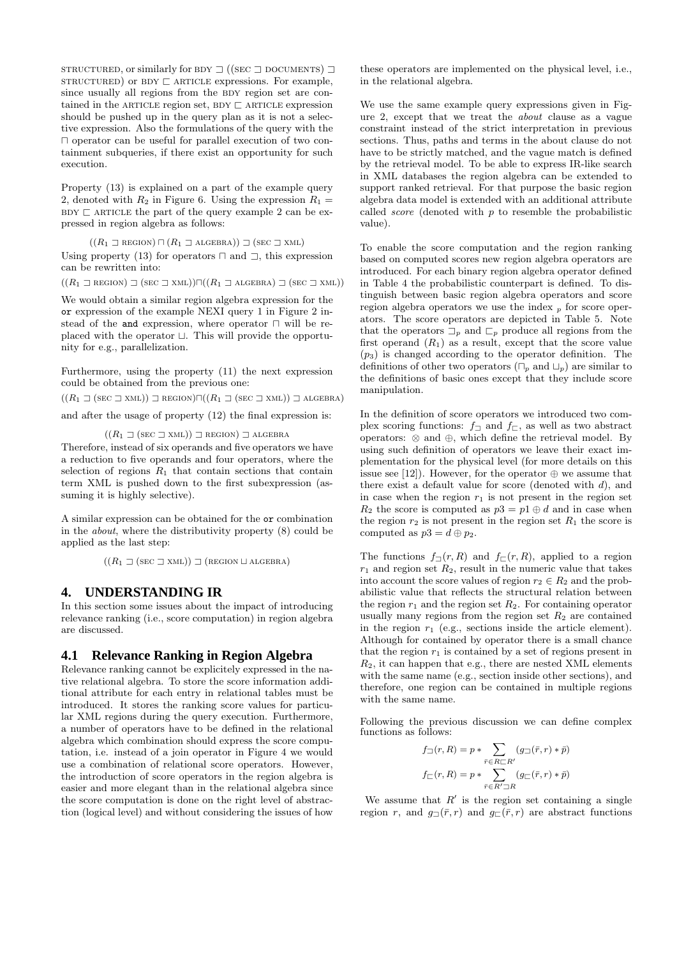STRUCTURED, or similarly for BDY  $\Box$  ((SEC  $\Box$  DOCUMENTS)  $\Box$  $STRUCTURED$ ) or  $BDY \sqsubset ARTICLE$  expressions. For example, since usually all regions from the BDY region set are contained in the ARTICLE region set, BDY  $\sqsubset$  ARTICLE expression should be pushed up in the query plan as it is not a selective expression. Also the formulations of the query with the  $\Box$  operator can be useful for parallel execution of two containment subqueries, if there exist an opportunity for such execution.

Property (13) is explained on a part of the example query 2, denoted with  $R_2$  in Figure 6. Using the expression  $R_1 =$  $BDY \sqsubset ARTICLE$  the part of the query example 2 can be expressed in region algebra as follows:

 $((R_1 \rvert \rvert \rvert \text{REGION}) \sqcap (R_1 \rvert \rvert \rvert \text{ALGEBRA})) \sqsupset (\text{SEC } \rvert \rvert \text{XML})$ Using property (13) for operators  $\Box$  and  $\Box$ , this expression can be rewritten into:

 $((R_1 \supseteq \text{REGION}) \supseteq (\text{sec } \supseteq \text{XML})) \cap ((R_1 \supseteq \text{ALGEBRA}) \supseteq (\text{sec } \supseteq \text{XML}))$ 

We would obtain a similar region algebra expression for the or expression of the example NEXI query 1 in Figure 2 instead of the and expression, where operator  $\sqcap$  will be replaced with the operator  $\sqcup$ . This will provide the opportunity for e.g., parallelization.

Furthermore, using the property (11) the next expression could be obtained from the previous one:

 $((R_1 \sqsupset (\text{sec} \sqsupset \text{XML})) \sqsupset \text{REGION})\sqcap ((R_1 \sqsupset (\text{sec} \sqsupset \text{XML})) \sqsupset \text{ALGEBRA})$ and after the usage of property (12) the final expression is:

 $((R_1 \sqsupset (\text{sec } \sqsupset \text{XML})) \sqsupset \text{REGION}) \sqsupset \text{ALGEBRA}$ 

Therefore, instead of six operands and five operators we have a reduction to five operands and four operators, where the selection of regions  $R_1$  that contain sections that contain term XML is pushed down to the first subexpression (assuming it is highly selective).

A similar expression can be obtained for the or combination in the about, where the distributivity property (8) could be applied as the last step:

 $((R_1 \sqsupset (\text{sec} \sqsupset \text{XML})) \sqsupset (\text{region} \sqcup \text{ALGEBRA})$ 

#### **4. UNDERSTANDING IR**

In this section some issues about the impact of introducing relevance ranking (i.e., score computation) in region algebra are discussed.

#### **4.1 Relevance Ranking in Region Algebra**

Relevance ranking cannot be explicitely expressed in the native relational algebra. To store the score information additional attribute for each entry in relational tables must be introduced. It stores the ranking score values for particular XML regions during the query execution. Furthermore, a number of operators have to be defined in the relational algebra which combination should express the score computation, i.e. instead of a join operator in Figure 4 we would use a combination of relational score operators. However, the introduction of score operators in the region algebra is easier and more elegant than in the relational algebra since the score computation is done on the right level of abstraction (logical level) and without considering the issues of how

these operators are implemented on the physical level, i.e., in the relational algebra.

We use the same example query expressions given in Figure 2, except that we treat the about clause as a vague constraint instead of the strict interpretation in previous sections. Thus, paths and terms in the about clause do not have to be strictly matched, and the vague match is defined by the retrieval model. To be able to express IR-like search in XML databases the region algebra can be extended to support ranked retrieval. For that purpose the basic region algebra data model is extended with an additional attribute called score (denoted with p to resemble the probabilistic value).

To enable the score computation and the region ranking based on computed scores new region algebra operators are introduced. For each binary region algebra operator defined in Table 4 the probabilistic counterpart is defined. To distinguish between basic region algebra operators and score region algebra operators we use the index  $_p$  for score operators. The score operators are depicted in Table 5. Note that the operators  $\Box_p$  and  $\Box_p$  produce all regions from the first operand  $(R_1)$  as a result, except that the score value  $(p_3)$  is changed according to the operator definition. The definitions of other two operators  $(\Box_p \text{ and } \Box_p)$  are similar to the definitions of basic ones except that they include score manipulation.

In the definition of score operators we introduced two complex scoring functions:  $f_{\square}$  and  $f_{\square}$ , as well as two abstract operators: ⊗ and ⊕, which define the retrieval model. By using such definition of operators we leave their exact implementation for the physical level (for more details on this issue see [12]). However, for the operator  $\oplus$  we assume that there exist a default value for score (denoted with  $d$ ), and in case when the region  $r_1$  is not present in the region set  $R_2$  the score is computed as  $p3 = p1 \oplus d$  and in case when the region  $r_2$  is not present in the region set  $R_1$  the score is computed as  $p3 = d \oplus p_2$ .

The functions  $f_{\square}(r, R)$  and  $f_{\square}(r, R)$ , applied to a region  $r_1$  and region set  $R_2$ , result in the numeric value that takes into account the score values of region  $r_2 \in R_2$  and the probabilistic value that reflects the structural relation between the region  $r_1$  and the region set  $R_2$ . For containing operator usually many regions from the region set  $R_2$  are contained in the region  $r_1$  (e.g., sections inside the article element). Although for contained by operator there is a small chance that the region  $r_1$  is contained by a set of regions present in  $R_2$ , it can happen that e.g., there are nested XML elements with the same name (e.g., section inside other sections), and therefore, one region can be contained in multiple regions with the same name.

Following the previous discussion we can define complex functions as follows:

$$
f_{\square}(r,R) = p * \sum_{\bar{r} \in R \square R'} (g_{\square}(\bar{r},r) * \bar{p})
$$

$$
f_{\square}(r,R) = p * \sum_{\bar{r} \in R' \square R} (g_{\square}(\bar{r},r) * \bar{p})
$$

We assume that  $R'$  is the region set containing a single region r, and  $g_{\square}(\bar{r},r)$  and  $g_{\square}(\bar{r},r)$  are abstract functions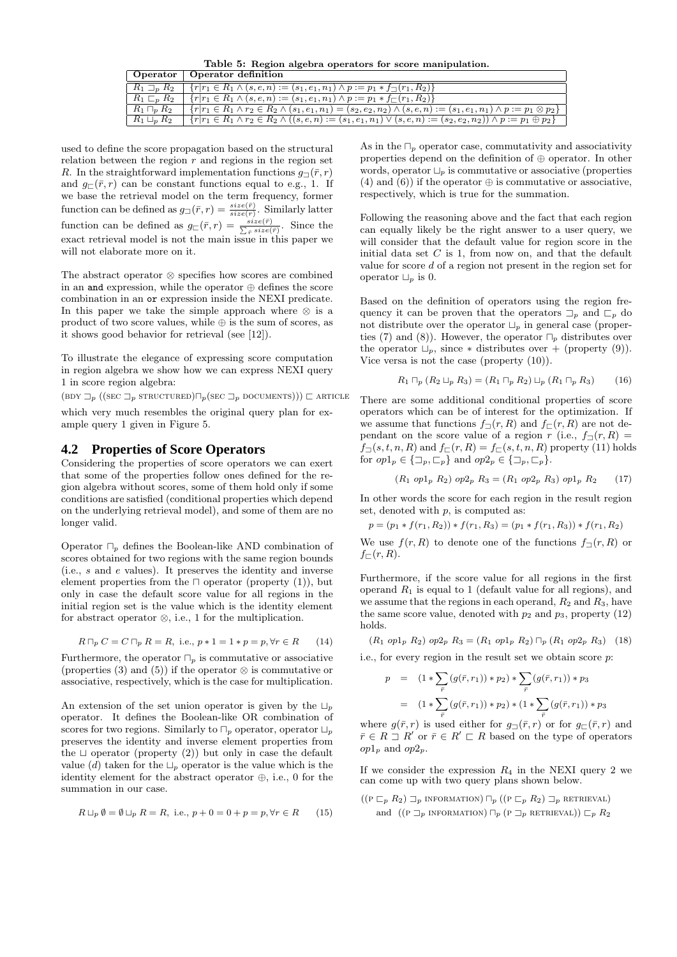Table 5: Region algebra operators for score manipulation.

|                       | Operator   Operator definition                                                                                                              |
|-----------------------|---------------------------------------------------------------------------------------------------------------------------------------------|
| $R_1 \sqsupset_n R_2$ | ${r r_1 \in R_1 \wedge (s, e, n) := (s_1, e_1, n_1) \wedge p := p_1 * f_{\sqsupset}(r_1, R_2)}$                                             |
| $R_1 \sqsubset_n R_2$ | $\{r r_1 \in R_1 \wedge (s, e, n) := (s_1, e_1, n_1) \wedge p := p_1 * f_{\sqsubset}(r_1, R_2)\}\$                                          |
| $R_1 \sqcap_n R_2$    | $\{r r_1 \in R_1 \land r_2 \in R_2 \land (s_1, e_1, n_1) = (s_2, e_2, n_2) \land (s, e, n) := (s_1, e_1, n_1) \land p := p_1 \otimes p_2\}$ |
| $R_1 \sqcup_n R_2$    | ${r r_1 \in R_1 \land r_2 \in R_2 \land ((s, e, n) := (s_1, e_1, n_1) \lor (s, e, n) := (s_2, e_2, n_2)) \land p := p_1 \oplus p_2}$        |

used to define the score propagation based on the structural relation between the region  $r$  and regions in the region set R. In the straightforward implementation functions  $q_{\Box}(\bar{r}, r)$ and  $g_{\square}(\bar{r}, r)$  can be constant functions equal to e.g., 1. If we base the retrieval model on the term frequency, former function can be defined as  $g_{\Box}(\bar{r},r) = \frac{size(\bar{r})}{size(r)}$ . Similarly latter function can be defined as  $g_{\square}(\bar{r},r) = \frac{size(\bar{r})}{\sum_{\bar{r}} size(\bar{r})}$ . Since the exact retrieval model is not the main issue in this paper we will not elaborate more on it.

The abstract operator ⊗ specifies how scores are combined in an and expression, while the operator ⊕ defines the score combination in an or expression inside the NEXI predicate. In this paper we take the simple approach where  $\otimes$  is a product of two score values, while  $\oplus$  is the sum of scores, as it shows good behavior for retrieval (see [12]).

To illustrate the elegance of expressing score computation in region algebra we show how we can express NEXI query 1 in score region algebra:

 $(BDY \sqsupset_{p} ((SEC \sqsupset_{p} STRUCTURED)\sqcap_{p} (SEC \sqsupset_{p} DOCUMENTS))) \sqsubset$  ARTICLE

which very much resembles the original query plan for example query 1 given in Figure 5.

#### **4.2 Properties of Score Operators**

Considering the properties of score operators we can exert that some of the properties follow ones defined for the region algebra without scores, some of them hold only if some conditions are satisfied (conditional properties which depend on the underlying retrieval model), and some of them are no longer valid.

Operator  $\Box_p$  defines the Boolean-like AND combination of scores obtained for two regions with the same region bounds (i.e., s and e values). It preserves the identity and inverse element properties from the  $\sqcap$  operator (property (1)), but only in case the default score value for all regions in the initial region set is the value which is the identity element for abstract operator ⊗, i.e., 1 for the multiplication.

$$
R \sqcap_p C = C \sqcap_p R = R, \text{ i.e., } p * 1 = 1 * p = p, \forall r \in R \qquad (14)
$$

Furthermore, the operator  $\Box_p$  is commutative or associative (properties (3) and (5)) if the operator  $\otimes$  is commutative or associative, respectively, which is the case for multiplication.

An extension of the set union operator is given by the  $\Box_n$ operator. It defines the Boolean-like OR combination of scores for two regions. Similarly to  $\Box_p$  operator, operator  $\Box_p$ preserves the identity and inverse element properties from the  $\Box$  operator (property (2)) but only in case the default value (d) taken for the  $\Box_p$  operator is the value which is the identity element for the abstract operator ⊕, i.e., 0 for the summation in our case.

$$
R \sqcup_p \emptyset = \emptyset \sqcup_p R = R, \text{ i.e., } p + 0 = 0 + p = p, \forall r \in R \qquad (15)
$$

As in the  $\Box_p$  operator case, commutativity and associativity properties depend on the definition of ⊕ operator. In other words, operator  $\Box_p$  is commutative or associative (properties (4) and (6)) if the operator  $\oplus$  is commutative or associative, respectively, which is true for the summation.

Following the reasoning above and the fact that each region can equally likely be the right answer to a user query, we will consider that the default value for region score in the initial data set  $C$  is 1, from now on, and that the default value for score d of a region not present in the region set for operator  $\Box_p$  is 0.

Based on the definition of operators using the region frequency it can be proven that the operators  $\Box_p$  and  $\Box_p$  do not distribute over the operator  $\Box_p$  in general case (properties (7) and (8)). However, the operator  $\Box_p$  distributes over the operator  $\Box_p$ , since  $*$  distributes over + (property (9)). Vice versa is not the case (property (10)).

$$
R_1 \sqcap_p (R_2 \sqcup_p R_3) = (R_1 \sqcap_p R_2) \sqcup_p (R_1 \sqcap_p R_3) \tag{16}
$$

There are some additional conditional properties of score operators which can be of interest for the optimization. If we assume that functions  $f_{\Box}(r, R)$  and  $f_{\Box}(r, R)$  are not dependant on the score value of a region r (i.e.,  $f_{\square}(r, R) =$  $f_{\square}(s,t,n,R)$  and  $f_{\square}(r,R) = f_{\square}(s,t,n,R)$  property (11) holds for  $op1_p \in {\sqsupseteq}_p, \sqsubset_p$  and  $op2_p \in {\sqsupseteq}_p, \sqsubset_p$ .

$$
(R_1 \text{ op1}_p R_2) \text{ op2}_p R_3 = (R_1 \text{ op2}_p R_3) \text{ op1}_p R_2 \qquad (17)
$$

In other words the score for each region in the result region set, denoted with  $p$ , is computed as:

$$
p = (p_1 * f(r_1, R_2)) * f(r_1, R_3) = (p_1 * f(r_1, R_3)) * f(r_1, R_2)
$$

We use  $f(r, R)$  to denote one of the functions  $f_{\Box}(r, R)$  or  $f_{\sqsubset}(r,R).$ 

Furthermore, if the score value for all regions in the first operand  $R_1$  is equal to 1 (default value for all regions), and we assume that the regions in each operand,  $R_2$  and  $R_3$ , have the same score value, denoted with  $p_2$  and  $p_3$ , property (12) holds.

 $(R_1 \text{ op1}_p R_2) \text{ op2}_p R_3 = (R_1 \text{ op1}_p R_2) \sqcap_p (R_1 \text{ op2}_p R_3)$  (18)

i.e., for every region in the result set we obtain score p:

$$
p = (1 * \sum_{\bar{r}} (g(\bar{r}, r_1)) * p_2) * \sum_{\bar{r}} (g(\bar{r}, r_1)) * p_3
$$
  

$$
= (1 * \sum_{\bar{r}} (g(\bar{r}, r_1)) * p_2) * (1 * \sum_{\bar{r}} (g(\bar{r}, r_1)) * p_3)
$$

where  $g(\bar{r}, r)$  is used either for  $g(\bar{r}, r)$  or for  $g(\bar{r}, r)$  and  $\bar{r} \in R \sqsupset R'$  or  $\bar{r} \in R' \sqsubset R$  based on the type of operators  $op1<sub>p</sub>$  and  $op2<sub>p</sub>$ .

If we consider the expression  $R_4$  in the NEXI query 2 we can come up with two query plans shown below.

 $((P \sqsubset_{p} R_{2}) \sqsupset_{p}$  information)  $\sqcap_{p} ((P \sqsubset_{p} R_{2}) \sqsupset_{p}$  retrieval) and  $((P \rightrightarrows_{p} \text{INFORMATION}) \sqcap_{p} (P \rightrightarrows_{p} \text{RETRUEVAL})) \sqsubset_{p} R_{2}$